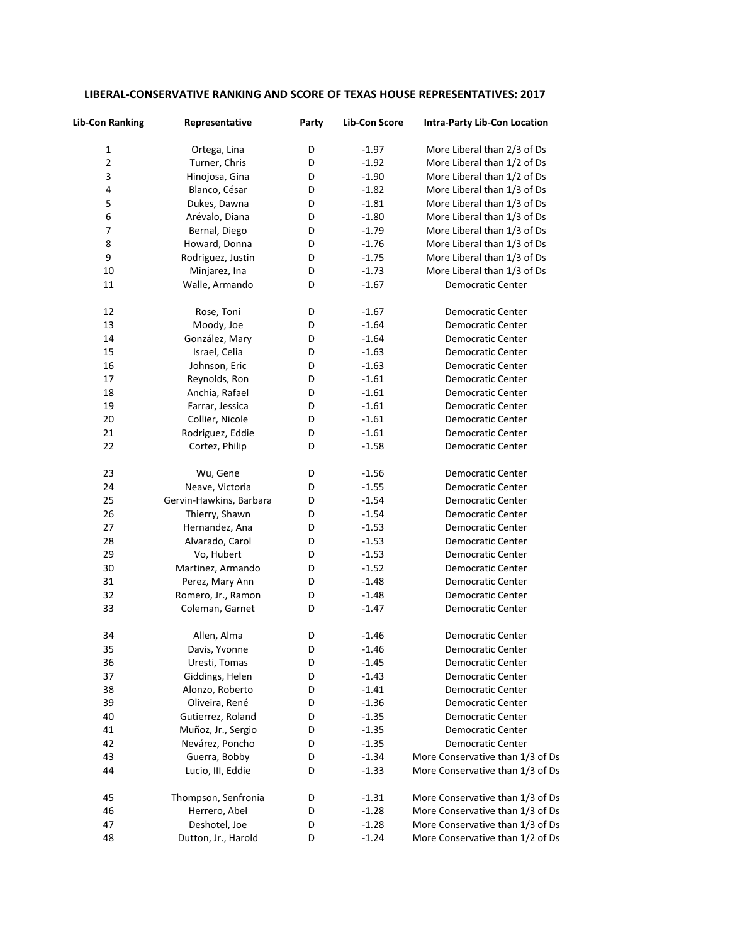| LIBERAL-CONSERVATIVE RANKING AND SCORE OF TEXAS HOUSE REPRESENTATIVES: 2017 |  |  |
|-----------------------------------------------------------------------------|--|--|
|-----------------------------------------------------------------------------|--|--|

| <b>Lib-Con Ranking</b> | Representative          | Party | <b>Lib-Con Score</b> | <b>Intra-Party Lib-Con Location</b> |
|------------------------|-------------------------|-------|----------------------|-------------------------------------|
| $\mathbf 1$            | Ortega, Lina            | D     | $-1.97$              | More Liberal than 2/3 of Ds         |
| $\overline{2}$         | Turner, Chris           | D     | $-1.92$              | More Liberal than 1/2 of Ds         |
| 3                      | Hinojosa, Gina          | D     | $-1.90$              | More Liberal than 1/2 of Ds         |
| 4                      | Blanco, César           | D     | $-1.82$              | More Liberal than 1/3 of Ds         |
| 5                      | Dukes, Dawna            | D     | $-1.81$              | More Liberal than 1/3 of Ds         |
| 6                      | Arévalo, Diana          | D     | $-1.80$              | More Liberal than 1/3 of Ds         |
| 7                      | Bernal, Diego           | D     | $-1.79$              | More Liberal than 1/3 of Ds         |
| 8                      | Howard, Donna           | D     | $-1.76$              | More Liberal than 1/3 of Ds         |
| 9                      | Rodriguez, Justin       | D     | $-1.75$              | More Liberal than 1/3 of Ds         |
| 10                     | Minjarez, Ina           | D     | $-1.73$              | More Liberal than 1/3 of Ds         |
| 11                     | Walle, Armando          | D     | $-1.67$              | <b>Democratic Center</b>            |
| 12                     | Rose, Toni              | D     | $-1.67$              | Democratic Center                   |
| 13                     | Moody, Joe              | D     | $-1.64$              | Democratic Center                   |
| 14                     | González, Mary          | D     | $-1.64$              | Democratic Center                   |
| 15                     | Israel, Celia           | D     | $-1.63$              | Democratic Center                   |
| 16                     | Johnson, Eric           | D     | $-1.63$              | <b>Democratic Center</b>            |
| 17                     | Reynolds, Ron           | D     | $-1.61$              | Democratic Center                   |
| 18                     | Anchia, Rafael          | D     | $-1.61$              | Democratic Center                   |
| 19                     | Farrar, Jessica         | D     | $-1.61$              | Democratic Center                   |
| 20                     | Collier, Nicole         | D     | $-1.61$              | Democratic Center                   |
| 21                     | Rodriguez, Eddie        | D     | $-1.61$              | Democratic Center                   |
| 22                     | Cortez, Philip          | D     | $-1.58$              | Democratic Center                   |
| 23                     | Wu, Gene                | D     | $-1.56$              | Democratic Center                   |
| 24                     | Neave, Victoria         | D     | $-1.55$              | Democratic Center                   |
| 25                     | Gervin-Hawkins, Barbara | D     | $-1.54$              | Democratic Center                   |
| 26                     | Thierry, Shawn          | D     | $-1.54$              | Democratic Center                   |
| 27                     | Hernandez, Ana          | D     | $-1.53$              | Democratic Center                   |
| 28                     | Alvarado, Carol         | D     | $-1.53$              | Democratic Center                   |
| 29                     | Vo, Hubert              | D     | $-1.53$              | Democratic Center                   |
| 30                     | Martinez, Armando       | D     | $-1.52$              | Democratic Center                   |
| 31                     | Perez, Mary Ann         | D     | $-1.48$              | Democratic Center                   |
| 32                     | Romero, Jr., Ramon      | D     | $-1.48$              | Democratic Center                   |
| 33                     | Coleman, Garnet         | D     | $-1.47$              | Democratic Center                   |
| 34                     | Allen, Alma             | D     | $-1.46$              | <b>Democratic Center</b>            |
| 35                     | Davis, Yvonne           | D     | $-1.46$              | Democratic Center                   |
| 36                     | Uresti, Tomas           | D     | $-1.45$              | Democratic Center                   |
| 37                     | Giddings, Helen         | D     | $-1.43$              | <b>Democratic Center</b>            |
| 38                     | Alonzo, Roberto         | D     | $-1.41$              | Democratic Center                   |
| 39                     | Oliveira, René          | D     | $-1.36$              | <b>Democratic Center</b>            |
| 40                     | Gutierrez, Roland       | D     | $-1.35$              | Democratic Center                   |
| 41                     | Muñoz, Jr., Sergio      | D     | $-1.35$              | Democratic Center                   |
| 42                     | Nevárez, Poncho         | D     | $-1.35$              | Democratic Center                   |
| 43                     | Guerra, Bobby           | D     | $-1.34$              | More Conservative than 1/3 of Ds    |
| 44                     | Lucio, III, Eddie       | D     | $-1.33$              | More Conservative than 1/3 of Ds    |
| 45                     | Thompson, Senfronia     | D     | $-1.31$              | More Conservative than 1/3 of Ds    |
| 46                     | Herrero, Abel           | D     | $-1.28$              | More Conservative than 1/3 of Ds    |
| 47                     | Deshotel, Joe           | D     | $-1.28$              | More Conservative than 1/3 of Ds    |
| 48                     | Dutton, Jr., Harold     | D     | $-1.24$              | More Conservative than 1/2 of Ds    |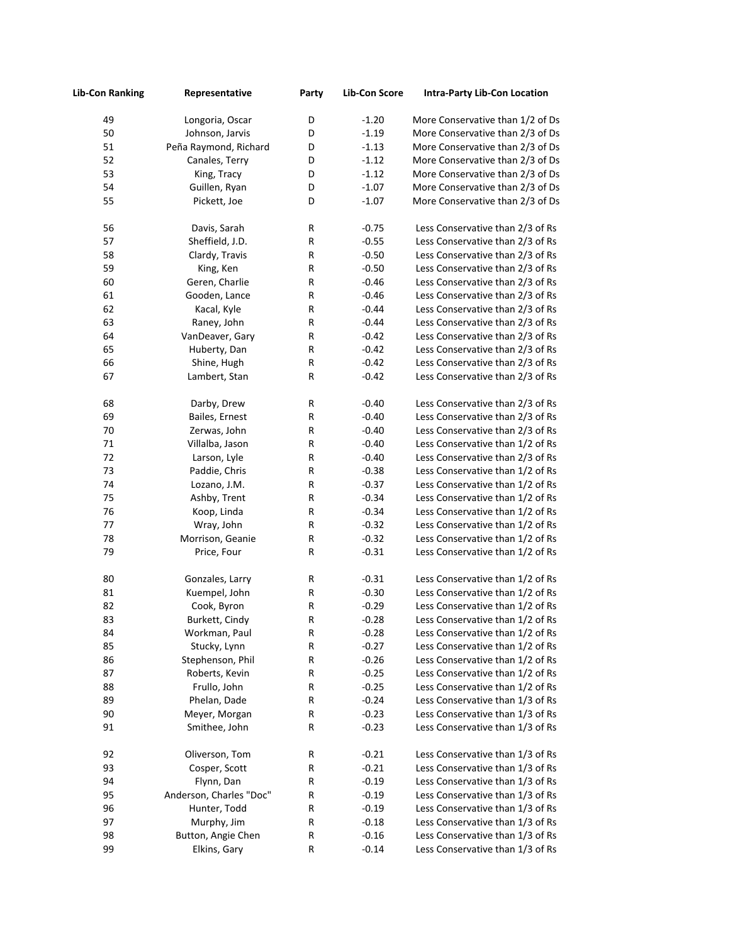| <b>Lib-Con Ranking</b> | Representative          | Party | <b>Lib-Con Score</b> | <b>Intra-Party Lib-Con Location</b> |
|------------------------|-------------------------|-------|----------------------|-------------------------------------|
| 49                     | Longoria, Oscar         | D     | $-1.20$              | More Conservative than 1/2 of Ds    |
| 50                     | Johnson, Jarvis         | D     | $-1.19$              | More Conservative than 2/3 of Ds    |
| 51                     | Peña Raymond, Richard   | D     | $-1.13$              | More Conservative than 2/3 of Ds    |
| 52                     | Canales, Terry          | D     | $-1.12$              | More Conservative than 2/3 of Ds    |
| 53                     | King, Tracy             | D     | $-1.12$              | More Conservative than 2/3 of Ds    |
| 54                     | Guillen, Ryan           | D     | $-1.07$              | More Conservative than 2/3 of Ds    |
| 55                     | Pickett, Joe            | D     | $-1.07$              | More Conservative than 2/3 of Ds    |
| 56                     | Davis, Sarah            | R     | $-0.75$              | Less Conservative than 2/3 of Rs    |
| 57                     | Sheffield, J.D.         | R     | $-0.55$              | Less Conservative than 2/3 of Rs    |
| 58                     | Clardy, Travis          | R     | $-0.50$              | Less Conservative than 2/3 of Rs    |
| 59                     | King, Ken               | R     | $-0.50$              | Less Conservative than 2/3 of Rs    |
| 60                     | Geren, Charlie          | R     | $-0.46$              | Less Conservative than 2/3 of Rs    |
| 61                     | Gooden, Lance           | R     | $-0.46$              | Less Conservative than 2/3 of Rs    |
| 62                     | Kacal, Kyle             | R     | $-0.44$              | Less Conservative than 2/3 of Rs    |
| 63                     | Raney, John             | R     | $-0.44$              | Less Conservative than 2/3 of Rs    |
| 64                     | VanDeaver, Gary         | R     | $-0.42$              | Less Conservative than 2/3 of Rs    |
| 65                     | Huberty, Dan            | R     | $-0.42$              | Less Conservative than 2/3 of Rs    |
| 66                     | Shine, Hugh             | R     | $-0.42$              | Less Conservative than 2/3 of Rs    |
| 67                     | Lambert, Stan           | R     | $-0.42$              | Less Conservative than 2/3 of Rs    |
| 68                     | Darby, Drew             | R     | $-0.40$              | Less Conservative than 2/3 of Rs    |
| 69                     | Bailes, Ernest          | R     | $-0.40$              | Less Conservative than 2/3 of Rs    |
| 70                     | Zerwas, John            | R     | $-0.40$              | Less Conservative than 2/3 of Rs    |
| 71                     | Villalba, Jason         | R     | $-0.40$              | Less Conservative than 1/2 of Rs    |
| 72                     | Larson, Lyle            | R     | $-0.40$              | Less Conservative than 2/3 of Rs    |
| 73                     | Paddie, Chris           | R     | $-0.38$              | Less Conservative than 1/2 of Rs    |
| 74                     | Lozano, J.M.            | R     | $-0.37$              | Less Conservative than 1/2 of Rs    |
| 75                     | Ashby, Trent            | R     | $-0.34$              | Less Conservative than 1/2 of Rs    |
| 76                     | Koop, Linda             | R     | $-0.34$              | Less Conservative than 1/2 of Rs    |
| 77                     | Wray, John              | R     | $-0.32$              | Less Conservative than 1/2 of Rs    |
| 78                     | Morrison, Geanie        | R     | $-0.32$              | Less Conservative than 1/2 of Rs    |
| 79                     | Price, Four             | R     | $-0.31$              | Less Conservative than 1/2 of Rs    |
| 80                     | Gonzales, Larry         | R     | $-0.31$              | Less Conservative than 1/2 of Rs    |
| 81                     | Kuempel, John           | R     | $-0.30$              | Less Conservative than 1/2 of Rs    |
| 82                     | Cook, Byron             | R     | $-0.29$              | Less Conservative than 1/2 of Rs    |
| 83                     | Burkett, Cindy          | R     | $-0.28$              | Less Conservative than 1/2 of Rs    |
| 84                     | Workman, Paul           | R     | $-0.28$              | Less Conservative than 1/2 of Rs    |
| 85                     | Stucky, Lynn            | R     | $-0.27$              | Less Conservative than 1/2 of Rs    |
| 86                     | Stephenson, Phil        | R     | $-0.26$              | Less Conservative than 1/2 of Rs    |
| 87                     | Roberts, Kevin          | R     | $-0.25$              | Less Conservative than 1/2 of Rs    |
| 88                     | Frullo, John            | R     | $-0.25$              | Less Conservative than 1/2 of Rs    |
| 89                     | Phelan, Dade            | R     | $-0.24$              | Less Conservative than 1/3 of Rs    |
| 90                     | Meyer, Morgan           | R     | $-0.23$              | Less Conservative than 1/3 of Rs    |
| 91                     | Smithee, John           | R     | $-0.23$              | Less Conservative than 1/3 of Rs    |
| 92                     | Oliverson, Tom          | R     | $-0.21$              | Less Conservative than 1/3 of Rs    |
| 93                     | Cosper, Scott           | R     | $-0.21$              | Less Conservative than 1/3 of Rs    |
| 94                     | Flynn, Dan              | R     | $-0.19$              | Less Conservative than 1/3 of Rs    |
| 95                     | Anderson, Charles "Doc" | R     | $-0.19$              | Less Conservative than 1/3 of Rs    |
| 96                     | Hunter, Todd            | R     | $-0.19$              | Less Conservative than 1/3 of Rs    |
| 97                     | Murphy, Jim             | R     | $-0.18$              | Less Conservative than 1/3 of Rs    |
| 98                     | Button, Angie Chen      | R     | $-0.16$              | Less Conservative than 1/3 of Rs    |
| 99                     | Elkins, Gary            | R     | $-0.14$              | Less Conservative than 1/3 of Rs    |